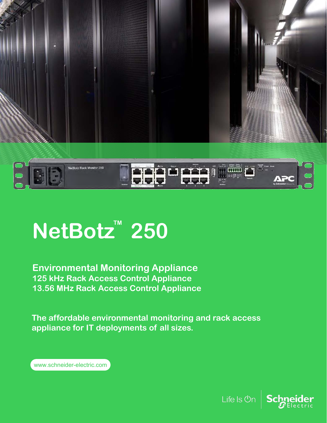

# **NetBotz™ 250**

**Environmental Monitoring Appliance 125 kHz Rack Access Control Appliance 13.56 MHz Rack Access Control Appliance**

**The affordable environmental monitoring and rack access appliance for IT deployments of all sizes.**

www.schneider-electric.com

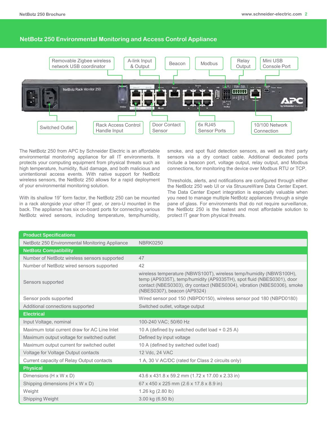#### **NetBotz 250 Environmental Monitoring and Access Control Appliance**



The NetBotz 250 from APC by Schneider Electric is an affordable environmental monitoring appliance for all IT environments. It protects your computing equipment from physical threats such as high temperature, humidity, fluid damage, and both malicious and unintentional access events. With native support for NetBotz wireless sensors, the NetBotz 250 allows for a rapid deployment of your environmental monitoring solution.

With its shallow 19" form factor, the NetBotz 250 can be mounted in a rack alongside your other IT gear, or zero-U mounted in the back. The appliance has six on-board ports for connecting various NetBotz wired sensors, including temperature, temp/humidity, smoke, and spot fluid detection sensors, as well as third party sensors via a dry contact cable. Additional dedicated ports include a beacon port, voltage output, relay output, and Modbus connections, for monitoring the device over Modbus RTU or TCP.

Thresholds, alerts, and notifications are configured through either the NetBotz 250 web UI or via StruxureWare Data Center Expert. The Data Center Expert integration is especially valuable when you need to manage multiple NetBotz appliances through a single pane of glass. For environments that do not require surveillance, the NetBotz 250 is the fastest and most affordable solution to protect IT gear from physical threats.

| <b>Product Specifications</b>                  |                                                                                                                                                                                                                                                        |  |
|------------------------------------------------|--------------------------------------------------------------------------------------------------------------------------------------------------------------------------------------------------------------------------------------------------------|--|
| NetBotz 250 Environmental Monitoring Appliance | <b>NBRK0250</b>                                                                                                                                                                                                                                        |  |
| <b>NetBotz Compatibility</b>                   |                                                                                                                                                                                                                                                        |  |
| Number of NetBotz wireless sensors supported   | 47                                                                                                                                                                                                                                                     |  |
| Number of NetBotz wired sensors supported      | 42                                                                                                                                                                                                                                                     |  |
| Sensors supported                              | wireless temperature (NBWS100T), wireless temp/humidity (NBWS100H),<br>temp (AP9335T), temp/humidity (AP9335TH), spot fluid (NBES0301), door<br>contact (NBES0303), dry contact (NBES0304), vibration (NBES0306), smoke<br>(NBES0307), beacon (AP9324) |  |
| Sensor pods supported                          | Wired sensor pod 150 (NBPD0150), wireless sensor pod 180 (NBPD0180)                                                                                                                                                                                    |  |
| Additional connections supported               | Switched outlet, voltage output                                                                                                                                                                                                                        |  |
| <b>Electrical</b>                              |                                                                                                                                                                                                                                                        |  |
| Input Voltage, nominal                         | 100-240 VAC; 50/60 Hz                                                                                                                                                                                                                                  |  |
| Maximum total current draw for AC Line Inlet   | 10 A (defined by switched outlet load + 0.25 A)                                                                                                                                                                                                        |  |
| Maximum output voltage for switched outlet     | Defined by input voltage                                                                                                                                                                                                                               |  |
| Maximum output current for switched outlet     | 10 A (defined by switched outlet load)                                                                                                                                                                                                                 |  |
| Voltage for Voltage Output contacts            | 12 Vdc, 24 VAC                                                                                                                                                                                                                                         |  |
| Current capacity of Relay Output contacts      | 1 A, 30 V AC/DC (rated for Class 2 circuits only)                                                                                                                                                                                                      |  |
| <b>Physical</b>                                |                                                                                                                                                                                                                                                        |  |
| Dimensions (H x W x D)                         | 43.6 x 431.8 x 59.2 mm (1.72 x 17.00 x 2.33 in)                                                                                                                                                                                                        |  |
| Shipping dimensions (H x W x D)                | 67 x 450 x 225 mm (2.6 x 17.8 x 8.9 in)                                                                                                                                                                                                                |  |
| Weight                                         | 1.26 kg (2.80 lb)                                                                                                                                                                                                                                      |  |
| Shipping Weight                                | 3.00 kg (6.50 lb)                                                                                                                                                                                                                                      |  |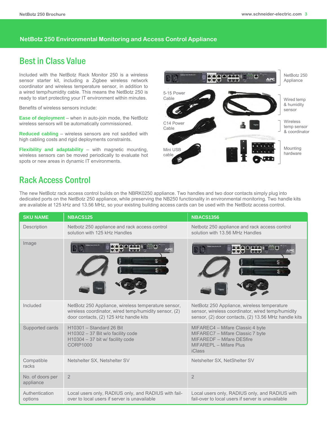#### **NetBotz 250 Environmental Monitoring and Access Control Appliance**

## Best in Class Value

Included with the NetBotz Rack Monitor 250 is a wireless sensor starter kit, including a Zigbee wireless network coordinator and wireless temperature sensor, in addition to a wired temp/humidity cable. This means the NetBotz 250 is ready to start protecting your IT environment within minutes.

Benefits of wireless sensors include:

**Ease of deployment** – when in auto-join mode, the NetBotz wireless sensors will be automatically commissioned.

**Reduced cabling** – wireless sensors are not saddled with high cabling costs and rigid deployments constraints.

**Flexibility and adaptability** – with magnetic mounting, wireless sensors can be moved periodically to evaluate hot spots or new areas in dynamic IT environments.



### Rack Access Control

The new NetBotz rack access control builds on the NBRK0250 appliance. Two handles and two door contacts simply plug into dedicated ports on the NetBotz 250 appliance, while preserving the NB250 functionality in environmental monitoring. Two handle kits are available at 125 kHz and 13.56 MHz, so your existing building access cards can be used with the NetBotz access control.

| <b>SKU NAME</b>               | <b>NBACS125</b>                                                                                                                                        | <b>NBACS1356</b>                                                                                                                                         |
|-------------------------------|--------------------------------------------------------------------------------------------------------------------------------------------------------|----------------------------------------------------------------------------------------------------------------------------------------------------------|
| Description                   | Netbotz 250 appliance and rack access control<br>solution with 125 kHz Handles                                                                         | Netbotz 250 appliance and rack access control<br>solution with 13.56 MHz Handles                                                                         |
| Image                         |                                                                                                                                                        | LIB                                                                                                                                                      |
| Included                      | NetBotz 250 Appliance, wireless temperature sensor,<br>wireless coordinator, wired temp/humidity sensor, (2)<br>door contacts, (2) 125 kHz handle kits | NetBotz 250 Appliance, wireless temperature<br>sensor, wireless coordinator, wired temp/humidity<br>sensor, (2) door contacts, (2) 13.56 MHz handle kits |
| Supported cards               | H10301 - Standard 26 Bit<br>H10302 - 37 Bit w/o facility code<br>H10304 - 37 bit w/ facility code<br><b>CORP1000</b>                                   | MIFAREC4 - Mifare Classic 4 byte<br>MIFAREC7 - Mifare Classic 7 byte<br>MIFAREDF - Mifare DESfire<br>MIFAREPL - Mifare Plus<br><b>iClass</b>             |
| Compatible<br>racks           | Netshelter SX, Netshelter SV                                                                                                                           | Netshelter SX, NetShelter SV                                                                                                                             |
| No. of doors per<br>appliance | $\overline{2}$                                                                                                                                         | $\overline{2}$                                                                                                                                           |
| Authentication<br>options     | Local users only, RADIUS only, and RADIUS with fail-<br>over to local users if server is unavailable                                                   | Local users only, RADIUS only, and RADIUS with<br>fail-over to local users if server is unavailable                                                      |